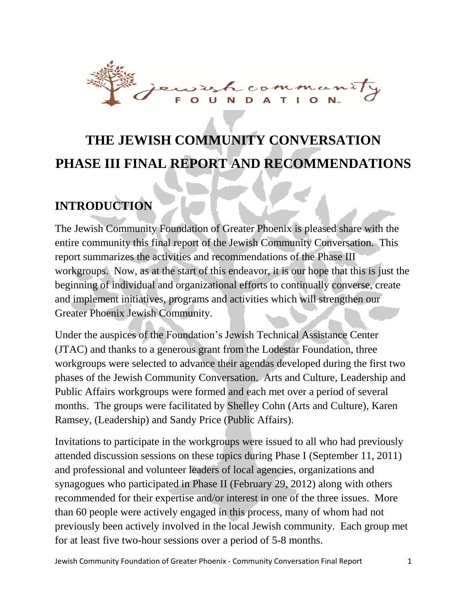

# **THE JEWISH COMMUNITY CONVERSATION PHASE III FINAL REPORT AND RECOMMENDATIONS**

## **INTRODUCTION**

The Jewish Community Foundation of Greater Phoenix is pleased share with the entire community this final report of the Jewish Community Conversation. This report summarizes the activities and recommendations of the Phase III workgroups. Now, as at the start of this endeavor, it is our hope that this is just the beginning of individual and organizational efforts to continually converse, create and implement initiatives, programs and activities which will strengthen our Greater Phoenix Jewish Community.

Under the auspices of the Foundation's Jewish Technical Assistance Center (JTAC) and thanks to a generous grant from the Lodestar Foundation, three workgroups were selected to advance their agendas developed during the first two phases of the Jewish Community Conversation. Arts and Culture, Leadership and Public Affairs workgroups were formed and each met over a period of several months. The groups were facilitated by Shelley Cohn (Arts and Culture), Karen Ramsey, (Leadership) and Sandy Price (Public Affairs).

Invitations to participate in the workgroups were issued to all who had previously attended discussion sessions on these topics during Phase I (September 11, 2011) and professional and volunteer leaders of local agencies, organizations and synagogues who participated in Phase II (February 29, 2012) along with others recommended for their expertise and/or interest in one of the three issues. More than 60 people were actively engaged in this process, many of whom had not previously been actively involved in the local Jewish community. Each group met for at least five two-hour sessions over a period of 5-8 months.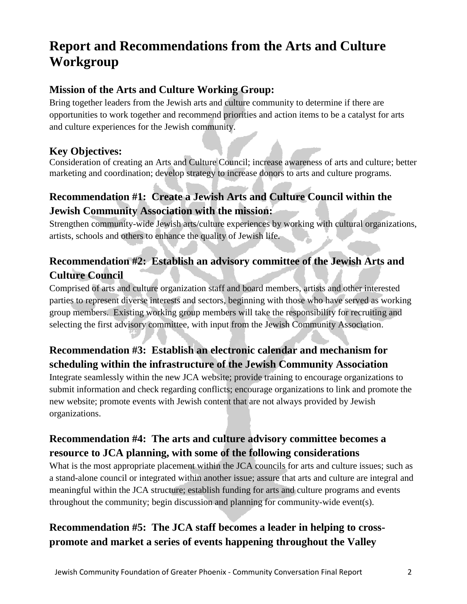## **Report and Recommendations from the Arts and Culture Workgroup**

### **Mission of the Arts and Culture Working Group:**

Bring together leaders from the Jewish arts and culture community to determine if there are opportunities to work together and recommend priorities and action items to be a catalyst for arts and culture experiences for the Jewish community.

#### **Key Objectives:**

Consideration of creating an Arts and Culture Council; increase awareness of arts and culture; better marketing and coordination; develop strategy to increase donors to arts and culture programs.

### **Recommendation #1: Create a Jewish Arts and Culture Council within the Jewish Community Association with the mission:**

Strengthen community-wide Jewish arts/culture experiences by working with cultural organizations, artists, schools and others to enhance the quality of Jewish life.

## **Recommendation #2: Establish an advisory committee of the Jewish Arts and Culture Council**

Comprised of arts and culture organization staff and board members, artists and other interested parties to represent diverse interests and sectors, beginning with those who have served as working group members. Existing working group members will take the responsibility for recruiting and selecting the first advisory committee, with input from the Jewish Community Association.

## **Recommendation #3: Establish an electronic calendar and mechanism for scheduling within the infrastructure of the Jewish Community Association**

Integrate seamlessly within the new JCA website; provide training to encourage organizations to submit information and check regarding conflicts; encourage organizations to link and promote the new website; promote events with Jewish content that are not always provided by Jewish organizations.

### **Recommendation #4: The arts and culture advisory committee becomes a resource to JCA planning, with some of the following considerations**

What is the most appropriate placement within the JCA councils for arts and culture issues; such as a stand-alone council or integrated within another issue; assure that arts and culture are integral and meaningful within the JCA structure; establish funding for arts and culture programs and events throughout the community; begin discussion and planning for community-wide event(s).

## **Recommendation #5: The JCA staff becomes a leader in helping to crosspromote and market a series of events happening throughout the Valley**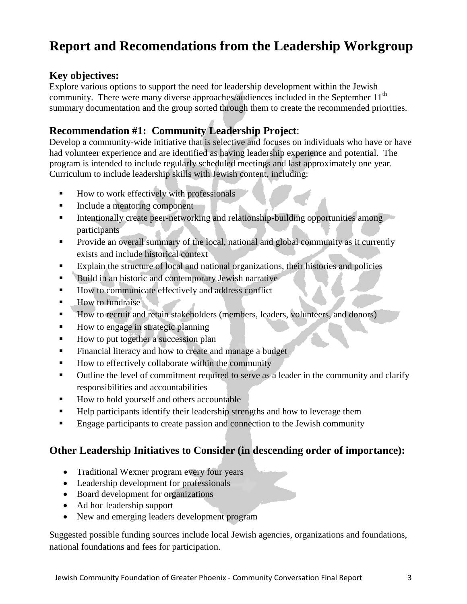## **Report and Recomendations from the Leadership Workgroup**

#### **Key objectives:**

Explore various options to support the need for leadership development within the Jewish community. There were many diverse approaches/audiences included in the September  $11<sup>th</sup>$ summary documentation and the group sorted through them to create the recommended priorities.

### **Recommendation #1: Community Leadership Project**:

Develop a community-wide initiative that is selective and focuses on individuals who have or have had volunteer experience and are identified as having leadership experience and potential. The program is intended to include regularly scheduled meetings and last approximately one year. Curriculum to include leadership skills with Jewish content, including:

- How to work effectively with professionals
- Include a mentoring component
- Intentionally create peer-networking and relationship-building opportunities among participants
- **Provide an overall summary of the local, national and global community as it currently** exists and include historical context
- Explain the structure of local and national organizations, their histories and policies
- Build in an historic and contemporary Jewish narrative
- How to communicate effectively and address conflict
- How to fundraise
- How to recruit and retain stakeholders (members, leaders, volunteers, and donors)
- How to engage in strategic planning
- How to put together a succession plan
- Financial literacy and how to create and manage a budget
- How to effectively collaborate within the community
- Outline the level of commitment required to serve as a leader in the community and clarify responsibilities and accountabilities
- How to hold yourself and others accountable
- **Help participants identify their leadership strengths and how to leverage them**
- Engage participants to create passion and connection to the Jewish community

#### **Other Leadership Initiatives to Consider (in descending order of importance):**

- Traditional Wexner program every four years
- Leadership development for professionals
- Board development for organizations
- Ad hoc leadership support
- New and emerging leaders development program

Suggested possible funding sources include local Jewish agencies, organizations and foundations, national foundations and fees for participation.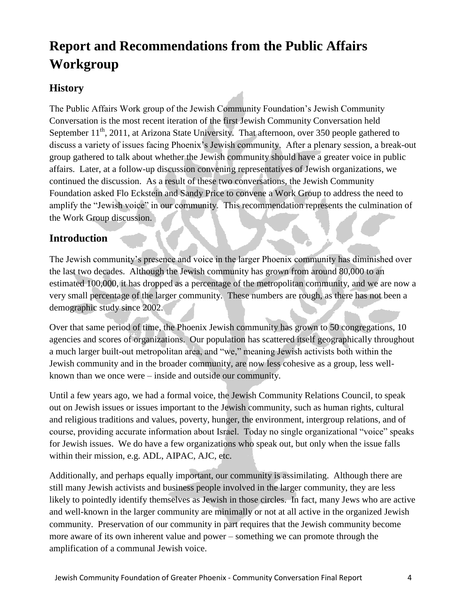## **Report and Recommendations from the Public Affairs Workgroup**

#### **History**

The Public Affairs Work group of the Jewish Community Foundation's Jewish Community Conversation is the most recent iteration of the first Jewish Community Conversation held September  $11<sup>th</sup>$ , 2011, at Arizona State University. That afternoon, over 350 people gathered to discuss a variety of issues facing Phoenix's Jewish community. After a plenary session, a break-out group gathered to talk about whether the Jewish community should have a greater voice in public affairs. Later, at a follow-up discussion convening representatives of Jewish organizations, we continued the discussion. As a result of these two conversations, the Jewish Community Foundation asked Flo Eckstein and Sandy Price to convene a Work Group to address the need to amplify the "Jewish voice" in our community. This recommendation represents the culmination of the Work Group discussion.

#### **Introduction**

The Jewish community's presence and voice in the larger Phoenix community has diminished over the last two decades. Although the Jewish community has grown from around 80,000 to an estimated 100,000, it has dropped as a percentage of the metropolitan community, and we are now a very small percentage of the larger community. These numbers are rough, as there has not been a demographic study since 2002.

Over that same period of time, the Phoenix Jewish community has grown to 50 congregations, 10 agencies and scores of organizations. Our population has scattered itself geographically throughout a much larger built-out metropolitan area, and "we," meaning Jewish activists both within the Jewish community and in the broader community, are now less cohesive as a group, less wellknown than we once were – inside and outside our community.

Until a few years ago, we had a formal voice, the Jewish Community Relations Council, to speak out on Jewish issues or issues important to the Jewish community, such as human rights, cultural and religious traditions and values, poverty, hunger, the environment, intergroup relations, and of course, providing accurate information about Israel. Today no single organizational "voice" speaks for Jewish issues. We do have a few organizations who speak out, but only when the issue falls within their mission, e.g. ADL, AIPAC, AJC, etc.

Additionally, and perhaps equally important, our community is assimilating. Although there are still many Jewish activists and business people involved in the larger community, they are less likely to pointedly identify themselves as Jewish in those circles. In fact, many Jews who are active and well-known in the larger community are minimally or not at all active in the organized Jewish community. Preservation of our community in part requires that the Jewish community become more aware of its own inherent value and power – something we can promote through the amplification of a communal Jewish voice.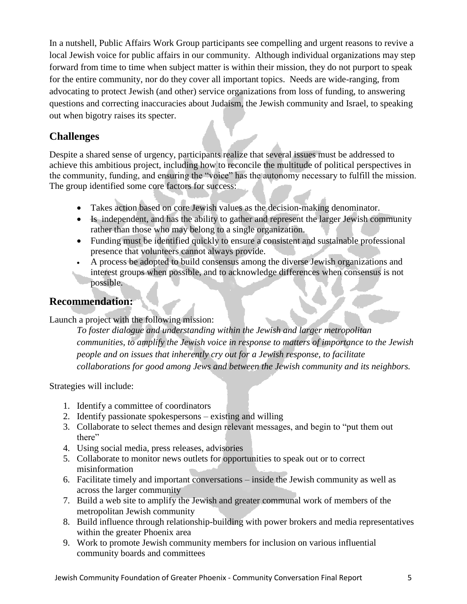In a nutshell, Public Affairs Work Group participants see compelling and urgent reasons to revive a local Jewish voice for public affairs in our community. Although individual organizations may step forward from time to time when subject matter is within their mission, they do not purport to speak for the entire community, nor do they cover all important topics. Needs are wide-ranging, from advocating to protect Jewish (and other) service organizations from loss of funding, to answering questions and correcting inaccuracies about Judaism, the Jewish community and Israel, to speaking out when bigotry raises its specter.

#### **Challenges**

Despite a shared sense of urgency, participants realize that several issues must be addressed to achieve this ambitious project, including how to reconcile the multitude of political perspectives in the community, funding, and ensuring the "voice" has the autonomy necessary to fulfill the mission. The group identified some core factors for success:

- Takes action based on core Jewish values as the decision-making denominator.
- Is independent, and has the ability to gather and represent the larger Jewish community rather than those who may belong to a single organization.
- Funding must be identified quickly to ensure a consistent and sustainable professional presence that volunteers cannot always provide.
- A process be adopted to build consensus among the diverse Jewish organizations and
- interest groups when possible, and to acknowledge differences when consensus is not possible.

#### **Recommendation:**

#### Launch a project with the following mission:

*To foster dialogue and understanding within the Jewish and larger metropolitan communities, to amplify the Jewish voice in response to matters of importance to the Jewish people and on issues that inherently cry out for a Jewish response, to facilitate collaborations for good among Jews and between the Jewish community and its neighbors.*

Strategies will include:

- 1. Identify a committee of coordinators
- 2. Identify passionate spokespersons existing and willing
- 3. Collaborate to select themes and design relevant messages, and begin to "put them out there"
- 4. Using social media, press releases, advisories
- 5. Collaborate to monitor news outlets for opportunities to speak out or to correct misinformation
- 6. Facilitate timely and important conversations inside the Jewish community as well as across the larger community
- 7. Build a web site to amplify the Jewish and greater communal work of members of the metropolitan Jewish community
- 8. Build influence through relationship-building with power brokers and media representatives within the greater Phoenix area
- 9. Work to promote Jewish community members for inclusion on various influential community boards and committees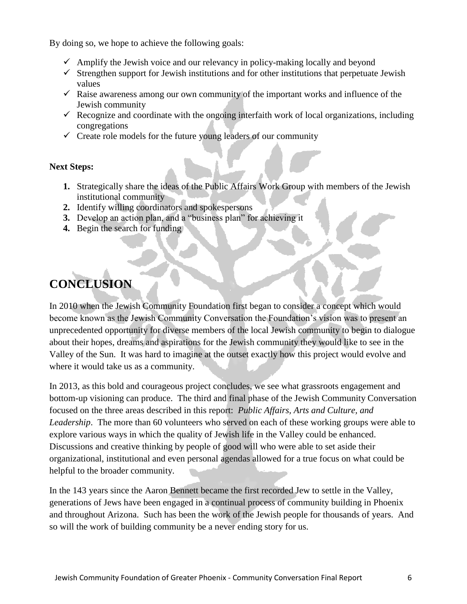By doing so, we hope to achieve the following goals:

- $\checkmark$  Amplify the Jewish voice and our relevancy in policy-making locally and beyond
- $\checkmark$  Strengthen support for Jewish institutions and for other institutions that perpetuate Jewish values
- $\checkmark$  Raise awareness among our own community of the important works and influence of the Jewish community
- $\checkmark$  Recognize and coordinate with the ongoing interfaith work of local organizations, including congregations
- $\checkmark$  Create role models for the future young leaders of our community

#### **Next Steps:**

- **1.** Strategically share the ideas of the Public Affairs Work Group with members of the Jewish institutional community
- **2.** Identify willing coordinators and spokespersons
- **3.** Develop an action plan, and a "business plan" for achieving it
- **4.** Begin the search for funding

## **CONCLUSION**

In 2010 when the Jewish Community Foundation first began to consider a concept which would become known as the Jewish Community Conversation the Foundation's vision was to present an unprecedented opportunity for diverse members of the local Jewish community to begin to dialogue about their hopes, dreams and aspirations for the Jewish community they would like to see in the Valley of the Sun. It was hard to imagine at the outset exactly how this project would evolve and where it would take us as a community.

In 2013, as this bold and courageous project concludes, we see what grassroots engagement and bottom-up visioning can produce. The third and final phase of the Jewish Community Conversation focused on the three areas described in this report: *Public Affairs, Arts and Culture, and Leadership*. The more than 60 volunteers who served on each of these working groups were able to explore various ways in which the quality of Jewish life in the Valley could be enhanced. Discussions and creative thinking by people of good will who were able to set aside their organizational, institutional and even personal agendas allowed for a true focus on what could be helpful to the broader community.

In the 143 years since the Aaron Bennett became the first recorded Jew to settle in the Valley, generations of Jews have been engaged in a continual process of community building in Phoenix and throughout Arizona. Such has been the work of the Jewish people for thousands of years. And so will the work of building community be a never ending story for us.